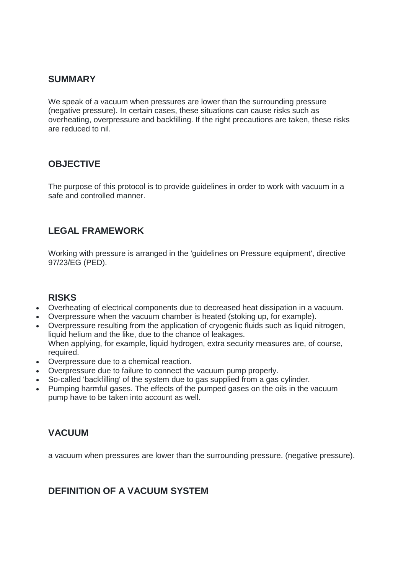#### **SUMMARY**

We speak of a vacuum when pressures are lower than the surrounding pressure (negative pressure). In certain cases, these situations can cause risks such as overheating, overpressure and backfilling. If the right precautions are taken, these risks are reduced to nil.

# **OBJECTIVE**

The purpose of this protocol is to provide guidelines in order to work with vacuum in a safe and controlled manner.

# **LEGAL FRAMEWORK**

Working with pressure is arranged in the 'guidelines on Pressure equipment', directive 97/23/EG (PED).

#### **RISKS**

- Overheating of electrical components due to decreased heat dissipation in a vacuum.
- Overpressure when the vacuum chamber is heated (stoking up, for example).
- Overpressure resulting from the application of cryogenic fluids such as liquid nitrogen, liquid helium and the like, due to the chance of leakages. When applying, for example, liquid hydrogen, extra security measures are, of course, required.
- Overpressure due to a chemical reaction.
- Overpressure due to failure to connect the vacuum pump properly.
- So-called 'backfilling' of the system due to gas supplied from a gas cylinder.
- Pumping harmful gases. The effects of the pumped gases on the oils in the vacuum pump have to be taken into account as well.

# **VACUUM**

a vacuum when pressures are lower than the surrounding pressure. (negative pressure).

# **DEFINITION OF A VACUUM SYSTEM**